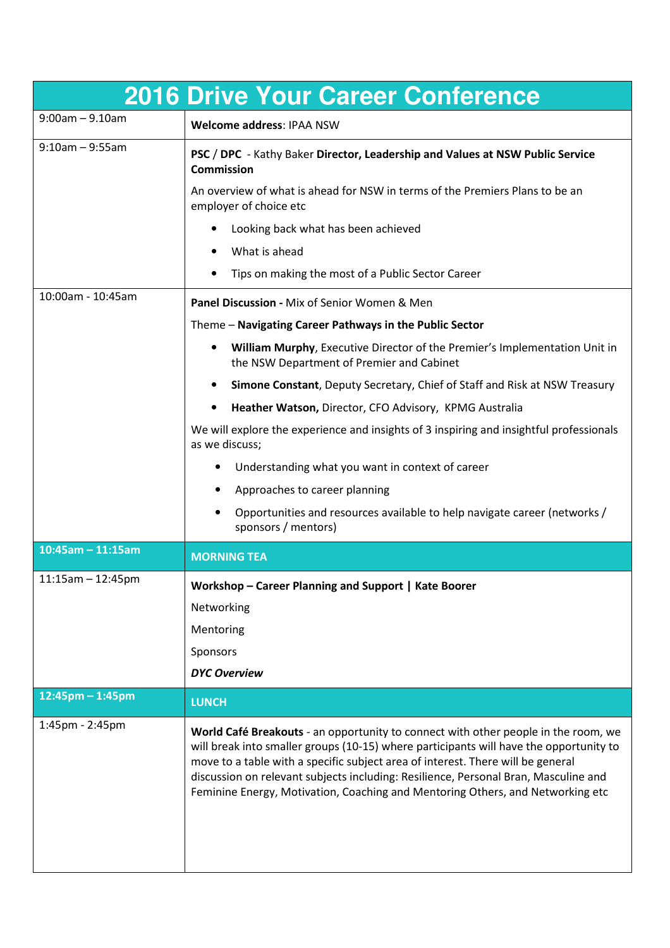|                       | <b>2016 Drive Your Career Conference</b>                                                                                                                                                                                                                                                                                                                                                                                                 |
|-----------------------|------------------------------------------------------------------------------------------------------------------------------------------------------------------------------------------------------------------------------------------------------------------------------------------------------------------------------------------------------------------------------------------------------------------------------------------|
| $9:00$ am - $9.10$ am | Welcome address: IPAA NSW                                                                                                                                                                                                                                                                                                                                                                                                                |
| $9:10$ am - $9:55$ am | PSC / DPC - Kathy Baker Director, Leadership and Values at NSW Public Service<br><b>Commission</b>                                                                                                                                                                                                                                                                                                                                       |
|                       | An overview of what is ahead for NSW in terms of the Premiers Plans to be an<br>employer of choice etc                                                                                                                                                                                                                                                                                                                                   |
|                       | Looking back what has been achieved                                                                                                                                                                                                                                                                                                                                                                                                      |
|                       | What is ahead                                                                                                                                                                                                                                                                                                                                                                                                                            |
|                       | Tips on making the most of a Public Sector Career                                                                                                                                                                                                                                                                                                                                                                                        |
| 10:00am - 10:45am     | Panel Discussion - Mix of Senior Women & Men                                                                                                                                                                                                                                                                                                                                                                                             |
|                       | Theme - Navigating Career Pathways in the Public Sector                                                                                                                                                                                                                                                                                                                                                                                  |
|                       | William Murphy, Executive Director of the Premier's Implementation Unit in<br>٠<br>the NSW Department of Premier and Cabinet                                                                                                                                                                                                                                                                                                             |
|                       | Simone Constant, Deputy Secretary, Chief of Staff and Risk at NSW Treasury                                                                                                                                                                                                                                                                                                                                                               |
|                       | Heather Watson, Director, CFO Advisory, KPMG Australia<br>$\bullet$                                                                                                                                                                                                                                                                                                                                                                      |
|                       | We will explore the experience and insights of 3 inspiring and insightful professionals<br>as we discuss;                                                                                                                                                                                                                                                                                                                                |
|                       | Understanding what you want in context of career                                                                                                                                                                                                                                                                                                                                                                                         |
|                       | Approaches to career planning                                                                                                                                                                                                                                                                                                                                                                                                            |
|                       | Opportunities and resources available to help navigate career (networks /<br>sponsors / mentors)                                                                                                                                                                                                                                                                                                                                         |
| $10:45am - 11:15am$   | <b>MORNING TEA</b>                                                                                                                                                                                                                                                                                                                                                                                                                       |
| $11:15am - 12:45pm$   | Workshop - Career Planning and Support   Kate Boorer                                                                                                                                                                                                                                                                                                                                                                                     |
|                       | Networking                                                                                                                                                                                                                                                                                                                                                                                                                               |
|                       | Mentoring                                                                                                                                                                                                                                                                                                                                                                                                                                |
|                       | Sponsors                                                                                                                                                                                                                                                                                                                                                                                                                                 |
|                       | <b>DYC Overview</b>                                                                                                                                                                                                                                                                                                                                                                                                                      |
| $12:45$ pm – 1:45pm   | <b>LUNCH</b>                                                                                                                                                                                                                                                                                                                                                                                                                             |
| 1:45pm - 2:45pm       | World Café Breakouts - an opportunity to connect with other people in the room, we<br>will break into smaller groups (10-15) where participants will have the opportunity to<br>move to a table with a specific subject area of interest. There will be general<br>discussion on relevant subjects including: Resilience, Personal Bran, Masculine and<br>Feminine Energy, Motivation, Coaching and Mentoring Others, and Networking etc |